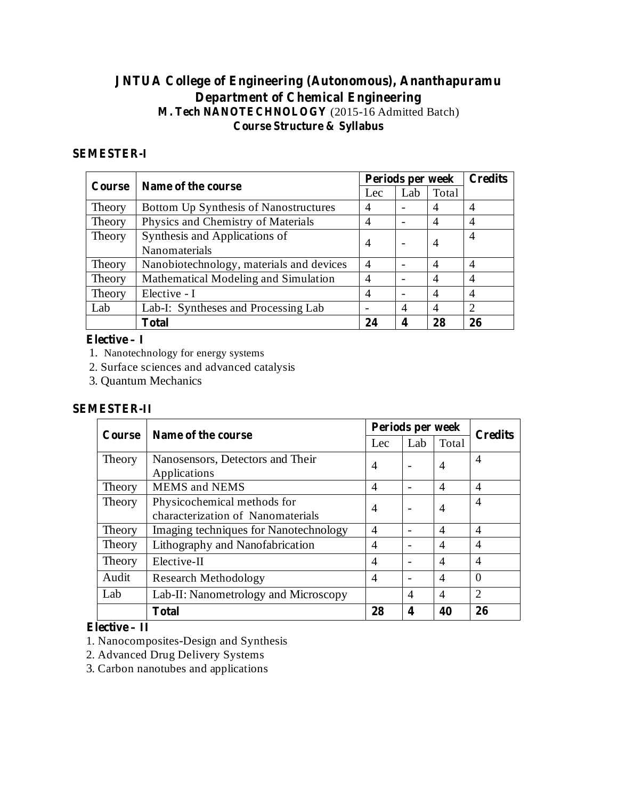# **JNTUA College of Engineering (Autonomous), Ananthapuramu Department of Chemical Engineering M. Tech NANOTECHNOLOGY** (2015-16 Admitted Batch) **Course Structure & Syllabus**

#### **SEMESTER-I**

| Course | Name of the course                       | Periods per week | <b>Credits</b>           |                |                |
|--------|------------------------------------------|------------------|--------------------------|----------------|----------------|
|        |                                          | Lec              | Lab                      | Total          |                |
| Theory | Bottom Up Synthesis of Nanostructures    | $\overline{4}$   |                          |                | 4              |
| Theory | Physics and Chemistry of Materials       | 4                |                          | $\overline{4}$ | 4              |
| Theory | Synthesis and Applications of            |                  |                          |                | 4              |
|        | Nanomaterials                            | 4                |                          | 4              |                |
| Theory | Nanobiotechnology, materials and devices | $\overline{4}$   |                          | $\overline{4}$ | 4              |
| Theory | Mathematical Modeling and Simulation     | $\overline{4}$   |                          | $\overline{4}$ | 4              |
| Theory | Elective - I                             | 4                | $\overline{\phantom{0}}$ | $\overline{4}$ | 4              |
| Lab    | Lab-I: Syntheses and Processing Lab      |                  | $\overline{4}$           | $\overline{4}$ | $\overline{2}$ |
|        | <b>Total</b>                             | 24               | 4                        | 28             | 26             |

#### **Elective – I**

- 1. Nanotechnology for energy systems
- 2. Surface sciences and advanced catalysis
- 3. Quantum Mechanics

#### **SEMESTER-II**

| Course | Name of the course                    | Periods per week |                |                |                |
|--------|---------------------------------------|------------------|----------------|----------------|----------------|
|        |                                       | Lec              | Lab            | Total          | <b>Credits</b> |
| Theory | Nanosensors, Detectors and Their      | $\overline{4}$   |                | $\overline{4}$ | $\overline{4}$ |
|        | Applications                          |                  |                |                |                |
| Theory | <b>MEMS</b> and <b>NEMS</b>           | 4                |                | $\overline{4}$ | $\overline{4}$ |
| Theory | Physicochemical methods for           | $\overline{4}$   |                | $\overline{4}$ | 4              |
|        | characterization of Nanomaterials     |                  |                |                |                |
| Theory | Imaging techniques for Nanotechnology | 4                |                | $\overline{4}$ | 4              |
| Theory | Lithography and Nanofabrication       | 4                |                | $\overline{4}$ | 4              |
| Theory | Elective-II                           | 4                |                | $\overline{4}$ | $\overline{4}$ |
| Audit  | <b>Research Methodology</b>           | 4                |                | $\overline{4}$ | $\Omega$       |
| Lab    | Lab-II: Nanometrology and Microscopy  |                  | $\overline{4}$ | $\overline{4}$ | $\overline{2}$ |
|        | <b>Total</b>                          | 28               | 4              | 40             | 26             |

#### **Elective – II**

- 1. Nanocomposites-Design and Synthesis
- 2. Advanced Drug Delivery Systems
- 3. Carbon nanotubes and applications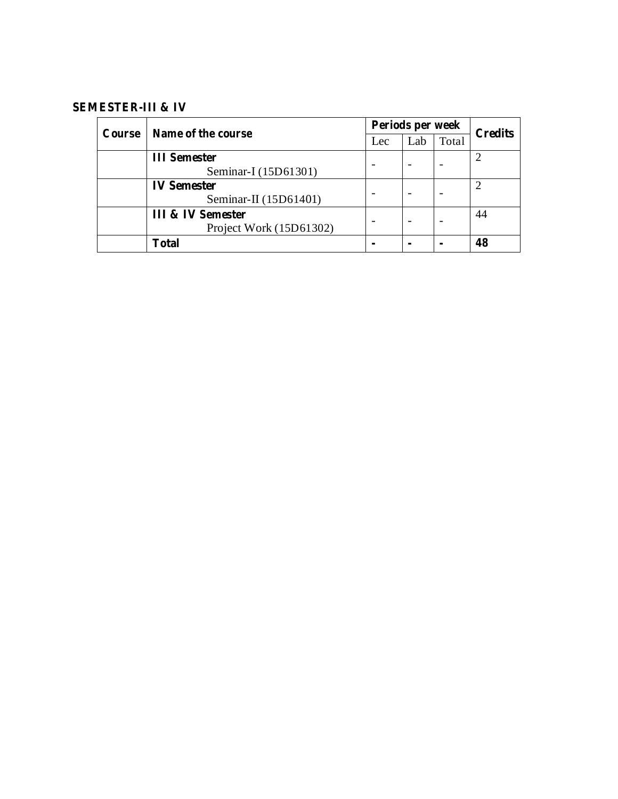# **SEMESTER-III & IV**

| Course | Name of the course           | Periods per week | <b>Credits</b> |       |    |
|--------|------------------------------|------------------|----------------|-------|----|
|        |                              | Lec              | Lab            | Total |    |
|        | <b>III</b> Semester          |                  |                |       |    |
|        | Seminar-I (15D61301)         |                  |                |       |    |
|        | <b>IV Semester</b>           |                  |                |       |    |
|        | Seminar-II (15D61401)        |                  |                |       |    |
|        | <b>III &amp; IV Semester</b> |                  |                |       | 44 |
|        | Project Work (15D61302)      |                  |                |       |    |
|        | <b>Total</b>                 |                  |                |       | 48 |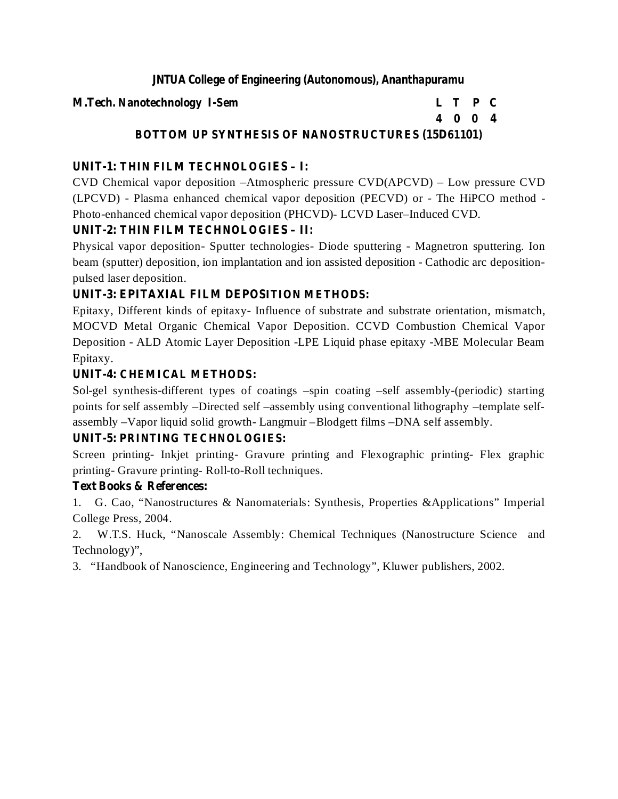#### **M.Tech. Nanotechnology I-Sem L T P C**

**4 0 0 4**

# **BOTTOM UP SYNTHESIS OF NANOSTRUCTURES (15D61101)**

# **UNIT-1: THIN FILM TECHNOLOGIES – I:**

CVD Chemical vapor deposition –Atmospheric pressure CVD(APCVD) – Low pressure CVD (LPCVD) - Plasma enhanced chemical vapor deposition (PECVD) or - The HiPCO method - Photo-enhanced chemical vapor deposition (PHCVD)- LCVD Laser–Induced CVD.

# **UNIT-2: THIN FILM TECHNOLOGIES – II:**

Physical vapor deposition- Sputter technologies- Diode sputtering - Magnetron sputtering. Ion beam (sputter) deposition, ion implantation and ion assisted deposition - Cathodic arc depositionpulsed laser deposition.

# **UNIT-3: EPITAXIAL FILM DEPOSITION METHODS:**

Epitaxy, Different kinds of epitaxy- Influence of substrate and substrate orientation, mismatch, MOCVD Metal Organic Chemical Vapor Deposition. CCVD Combustion Chemical Vapor Deposition - ALD Atomic Layer Deposition -LPE Liquid phase epitaxy -MBE Molecular Beam Epitaxy.

# **UNIT-4: CHEMICAL METHODS:**

Sol-gel synthesis-different types of coatings –spin coating –self assembly-(periodic) starting points for self assembly –Directed self –assembly using conventional lithography –template selfassembly –Vapor liquid solid growth- Langmuir –Blodgett films –DNA self assembly.

# **UNIT-5: PRINTING TECHNOLOGIES:**

Screen printing- Inkjet printing- Gravure printing and Flexographic printing- Flex graphic printing- Gravure printing- Roll-to-Roll techniques.

# **Text Books & References:**

1. G. Cao, "Nanostructures & Nanomaterials: Synthesis, Properties &Applications" Imperial College Press, 2004.

2. W.T.S. Huck, "Nanoscale Assembly: Chemical Techniques (Nanostructure Science and Technology)",

3. "Handbook of Nanoscience, Engineering and Technology", Kluwer publishers, 2002.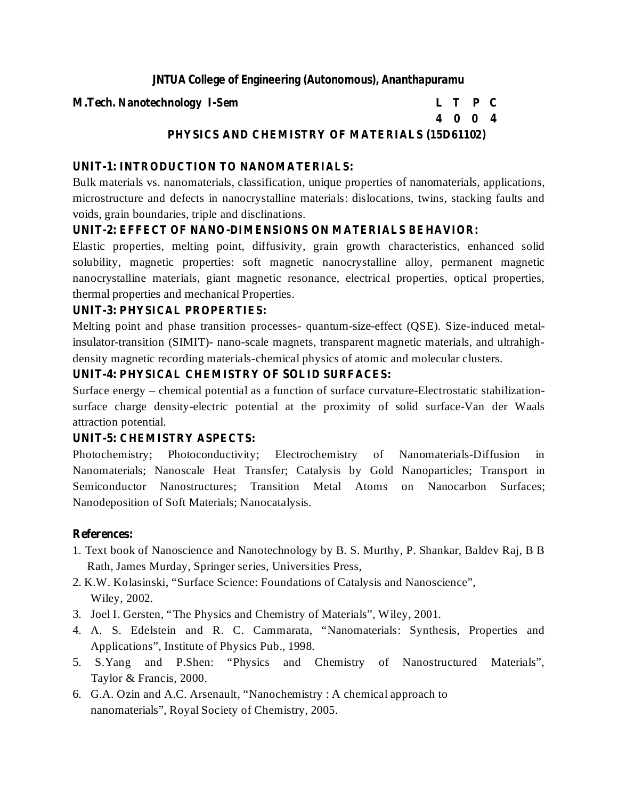#### **M.Tech. Nanotechnology I-Sem L T P C**

# **4 0 0 4**

# **PHYSICS AND CHEMISTRY OF MATERIALS (15D61102)**

# **UNIT-1: INTRODUCTION TO NANOMATERIALS:**

Bulk materials vs. nanomaterials, classification, unique properties of nanomaterials, applications, microstructure and defects in nanocrystalline materials: dislocations, twins, stacking faults and voids, grain boundaries, triple and disclinations.

## **UNIT-2: EFFECT OF NANO-DIMENSIONS ON MATERIALS BEHAVIOR:**

Elastic properties, melting point, diffusivity, grain growth characteristics, enhanced solid solubility, magnetic properties: soft magnetic nanocrystalline alloy, permanent magnetic nanocrystalline materials, giant magnetic resonance, electrical properties, optical properties, thermal properties and mechanical Properties.

# **UNIT-3: PHYSICAL PROPERTIES:**

Melting point and phase transition processes- quantum-size-effect (QSE). Size-induced metalinsulator-transition (SIMIT)- nano-scale magnets, transparent magnetic materials, and ultrahighdensity magnetic recording materials-chemical physics of atomic and molecular clusters.

# **UNIT-4: PHYSICAL CHEMISTRY OF SOLID SURFACES:**

Surface energy – chemical potential as a function of surface curvature-Electrostatic stabilizationsurface charge density-electric potential at the proximity of solid surface-Van der Waals attraction potential.

## **UNIT-5: CHEMISTRY ASPECTS:**

Photochemistry; Photoconductivity; Electrochemistry of Nanomaterials-Diffusion in Nanomaterials; Nanoscale Heat Transfer; Catalysis by Gold Nanoparticles; Transport in Semiconductor Nanostructures; Transition Metal Atoms on Nanocarbon Surfaces; Nanodeposition of Soft Materials; Nanocatalysis.

- 1. Text book of Nanoscience and Nanotechnology by B. S. Murthy, P. Shankar, Baldev Raj, B B Rath, James Murday, Springer series, Universities Press,
- 2. K.W. Kolasinski, "Surface Science: Foundations of Catalysis and Nanoscience", Wiley, 2002.
- 3. Joel I. Gersten, "The Physics and Chemistry of Materials", Wiley, 2001.
- 4. A. S. Edelstein and R. C. Cammarata, "Nanomaterials: Synthesis, Properties and Applications", Institute of Physics Pub., 1998.
- 5. S.Yang and P.Shen: "Physics and Chemistry of Nanostructured Materials", Taylor & Francis, 2000.
- 6. G.A. Ozin and A.C. Arsenault, "Nanochemistry : A chemical approach to nanomaterials", Royal Society of Chemistry, 2005.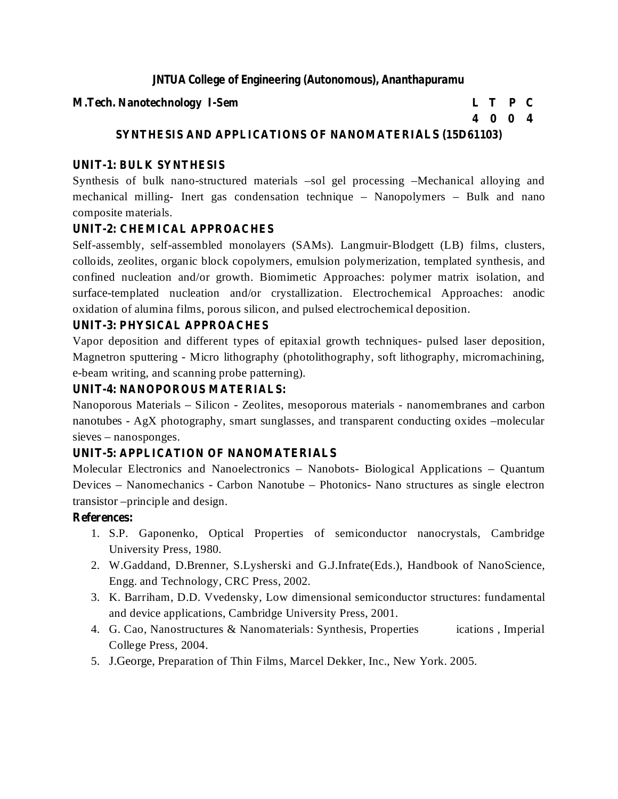#### **M.Tech. Nanotechnology I-Sem L T P C**

**4 0 0 4**

# **SYNTHESIS AND APPLICATIONS OF NANOMATERIALS (15D61103)**

# **UNIT-1: BULK SYNTHESIS**

Synthesis of bulk nano-structured materials –sol gel processing –Mechanical alloying and mechanical milling- Inert gas condensation technique – Nanopolymers – Bulk and nano composite materials.

# **UNIT-2: CHEMICAL APPROACHES**

Self-assembly, self-assembled monolayers (SAMs). Langmuir-Blodgett (LB) films, clusters, colloids, zeolites, organic block copolymers, emulsion polymerization, templated synthesis, and confined nucleation and/or growth. Biomimetic Approaches: polymer matrix isolation, and surface-templated nucleation and/or crystallization. Electrochemical Approaches: anodic oxidation of alumina films, porous silicon, and pulsed electrochemical deposition.

# **UNIT-3: PHYSICAL APPROACHES**

Vapor deposition and different types of epitaxial growth techniques- pulsed laser deposition, Magnetron sputtering - Micro lithography (photolithography, soft lithography, micromachining, e-beam writing, and scanning probe patterning).

# **UNIT-4: NANOPOROUS MATERIALS:**

Nanoporous Materials – Silicon - Zeolites, mesoporous materials - nanomembranes and carbon nanotubes - AgX photography, smart sunglasses, and transparent conducting oxides –molecular sieves – nanosponges.

# **UNIT-5: APPLICATION OF NANOMATERIALS**

Molecular Electronics and Nanoelectronics – Nanobots- Biological Applications – Quantum Devices – Nanomechanics - Carbon Nanotube – Photonics- Nano structures as single electron transistor –principle and design.

- 1. S.P. Gaponenko, Optical Properties of semiconductor nanocrystals, Cambridge University Press, 1980.
- 2. W.Gaddand, D.Brenner, S.Lysherski and G.J.Infrate(Eds.), Handbook of NanoScience, Engg. and Technology, CRC Press, 2002.
- 3. K. Barriham, D.D. Vvedensky, Low dimensional semiconductor structures: fundamental and device applications, Cambridge University Press, 2001.
- 4. G. Cao, Nanostructures & Nanomaterials: Synthesis, Properties ications , Imperial College Press, 2004.
- 5. J.George, Preparation of Thin Films, Marcel Dekker, Inc., New York. 2005.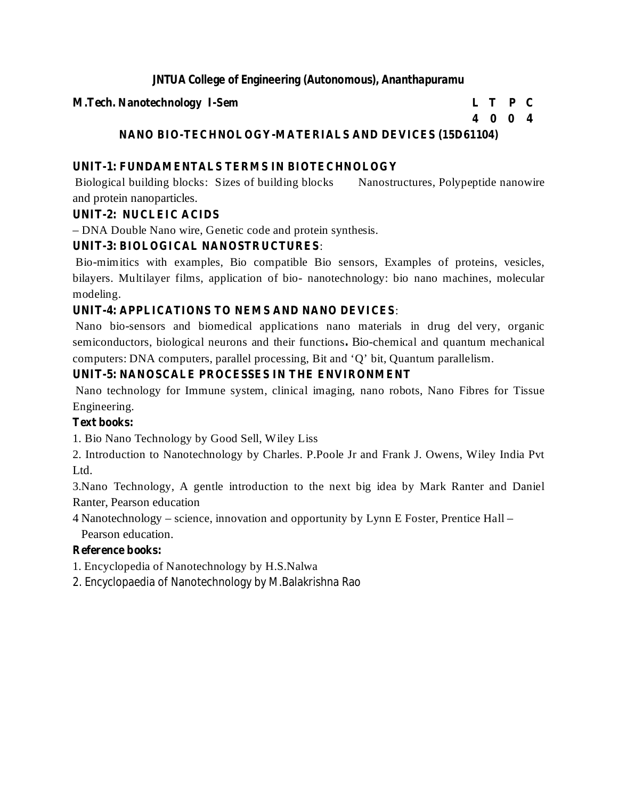#### **M.Tech. Nanotechnology I-Sem L T P C**

**4 0 0 4**

# **NANO BIO-TECHNOLOGY-MATERIALS AND DEVICES (15D61104)**

# **UNIT-1: FUNDAMENTALS TERMS IN BIOTECHNOLOGY**

Biological building blocks: Sizes of building blocks Nanostructures, Polypeptide nanowire and protein nanoparticles.

# **UNIT-2: NUCLEIC ACIDS**

– DNA Double Nano wire, Genetic code and protein synthesis.

# **UNIT-3: BIOLOGICAL NANOSTRUCTURES** :

Bio-mimitics with examples, Bio compatible Bio sensors, Examples of proteins, vesicles, bilayers. Multilayer films, application of bio- nanotechnology: bio nano machines, molecular modeling.

# **UNIT-4: APPLICATIONS TO NEMS AND NANO DEVICES** :

semiconductors, biological neurons and their functions. Bio-chemical and quantum mechanical Nano bio-sensors and biomedical applications nano materials in drug del very, organic computers: DNA computers, parallel processing, Bit and 'Q' bit, Quantum parallelism.

# **UNIT-5: NANOSCALE PROCESSES IN THE ENVIRONMENT**

Nano technology for Immune system, clinical imaging, nano robots, Nano Fibres for Tissue Engineering.

# **Text books:**

1. Bio Nano Technology by Good Sell, Wiley Liss

2. Introduction to Nanotechnology by Charles. P.Poole Jr and Frank J. Owens, Wiley India Pvt Ltd.

3.Nano Technology, A gentle introduction to the next big idea by Mark Ranter and Daniel Ranter, Pearson education

4 Nanotechnology – science, innovation and opportunity by Lynn E Foster, Prentice Hall – Pearson education.

# **Reference books:**

1. Encyclopedia of Nanotechnology by H.S.Nalwa

2. Encyclopaedia of Nanotechnology by M.Balakrishna Rao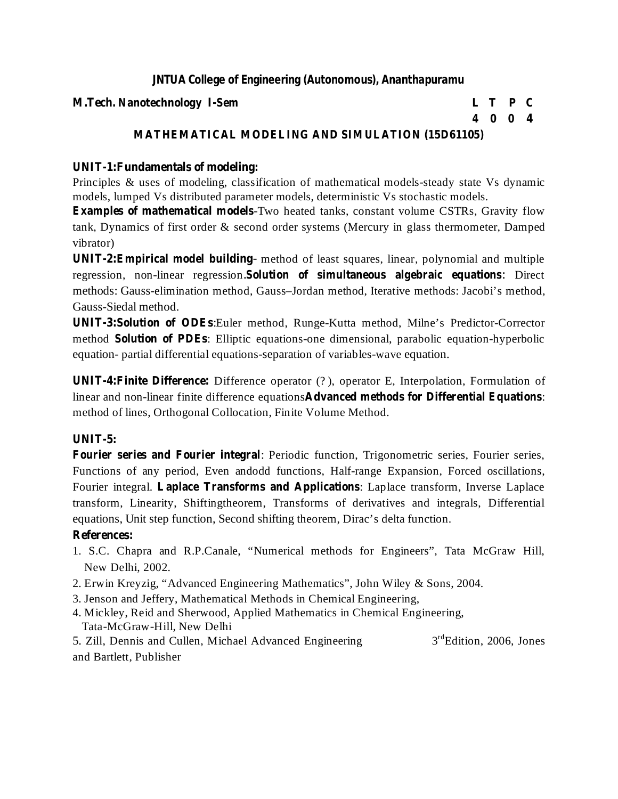#### **M.Tech. Nanotechnology I-Sem L T P C**

# **4 0 0 4**

# **MATHEMATICAL MODELING AND SIMULATION (15D61105)**

# **UNIT-1:Fundamentals of modeling:**

Principles & uses of modeling, classification of mathematical models-steady state Vs dynamic models, lumped Vs distributed parameter models, deterministic Vs stochastic models.

**Examples of mathematical models** -Two heated tanks, constant volume CSTRs, Gravity flow tank, Dynamics of first order & second order systems (Mercury in glass thermometer, Damped vibrator)

**UNIT-2:Empirical model building** method of least squares, linear, polynomial and multiple  regression, non-linear regression. Solution of simultaneous algebraic equations: Direct methods: Gauss-elimination method, Gauss–Jordan method, Iterative methods: Jacobi's method, Gauss-Siedal method.

**UNIT-3:Solution of ODEs** :Euler method, Runge-Kutta method, Milne's Predictor-Corrector method **Solution of PDEs**: Elliptic equations-one dimensional, parabolic equation-hyperbolic equation- partial differential equations-separation of variables-wave equation.

**UNIT-4:Finite Difference:** Difference operator (? ), operator E, Interpolation, Formulation of linear and non-linear finite difference equations Advanced methods for Differential Equations: method of lines, Orthogonal Collocation, Finite Volume Method.

#### **UNIT-5:**

**Fourier series and Fourier integral** : Periodic function, Trigonometric series, Fourier series, Fourier integral. Laplace Transforms and Applications: Laplace transform, Inverse Laplace Functions of any period, Even andodd functions, Half-range Expansion, Forced oscillations, transform, Linearity, Shiftingtheorem, Transforms of derivatives and integrals, Differential equations, Unit step function, Second shifting theorem, Dirac's delta function.

- 1. S.C. Chapra and R.P.Canale, "Numerical methods for Engineers", Tata McGraw Hill, New Delhi, 2002.
- 2. Erwin Kreyzig, "Advanced Engineering Mathematics", John Wiley & Sons, 2004.
- 3. Jenson and Jeffery, Mathematical Methods in Chemical Engineering,
- 4. Mickley, Reid and Sherwood, Applied Mathematics in Chemical Engineering, Tata-McGraw-Hill, New Delhi
- 5. Zill, Dennis and Cullen, Michael Advanced Engineering 3 <sup>rd</sup>Edition, 2006, Jones and Bartlett, Publisher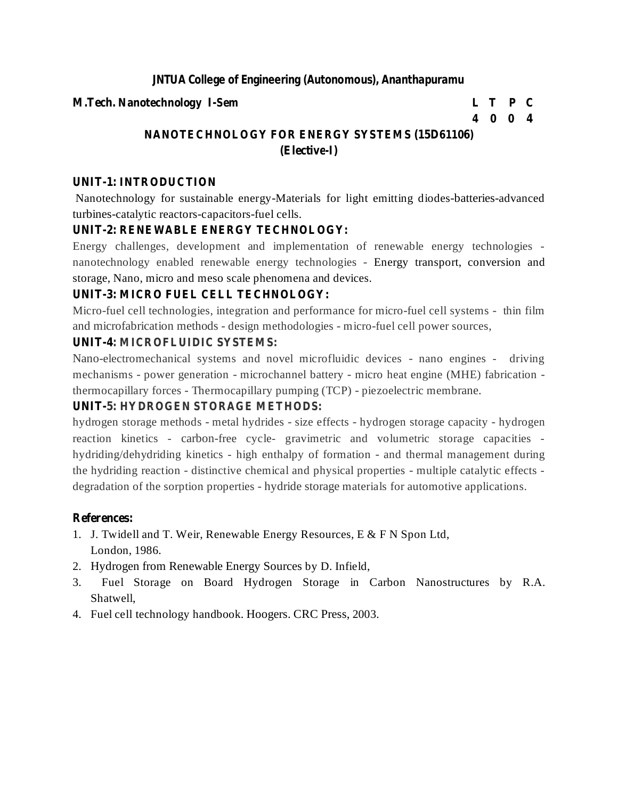#### **M.Tech. Nanotechnology I-Sem L T P C**

### **4 0 0 4**

# **NANOTECHNOLOGY FOR ENERGY SYSTEMS (15D61106) (Elective-I)**

# **UNIT-1: INTRODUCTION**

Nanotechnology for sustainable energy-Materials for light emitting diodes-batteries-advanced turbines-catalytic reactors-capacitors-fuel cells.

# **UNIT-2: RENEWABLE ENERGY TECHNOLOGY:**

Energy challenges, development and implementation of renewable energy technologies nanotechnology enabled renewable energy technologies - Energy transport, conversion and storage, Nano, micro and meso scale phenomena and devices.

# **UNIT-3: MICRO FUEL CELL TECHNOLOGY:**

Micro-fuel cell technologies, integration and performance for micro-fuel cell systems - thin film and microfabrication methods - design methodologies - micro-fuel cell power sources,

# **UNIT-4: MICROFLUIDIC SYSTEMS:**

Nano-electromechanical systems and novel microfluidic devices - nano engines - driving mechanisms - power generation - microchannel battery - micro heat engine (MHE) fabrication thermocapillary forces - Thermocapillary pumping (TCP) - piezoelectric membrane.

# **UNIT-5: HYDROGEN STORAGE METHODS:**

hydrogen storage methods - metal hydrides - size effects - hydrogen storage capacity - hydrogen reaction kinetics - carbon-free cycle- gravimetric and volumetric storage capacities hydriding/dehydriding kinetics - high enthalpy of formation - and thermal management during the hydriding reaction - distinctive chemical and physical properties - multiple catalytic effects degradation of the sorption properties - hydride storage materials for automotive applications.

- 1. J. Twidell and T. Weir, Renewable Energy Resources, E & F N Spon Ltd, London, 1986.
- 2. Hydrogen from Renewable Energy Sources by D. Infield,
- 3. Fuel Storage on Board Hydrogen Storage in Carbon Nanostructures by R.A. Shatwell,
- 4. Fuel cell technology handbook. Hoogers. CRC Press, 2003.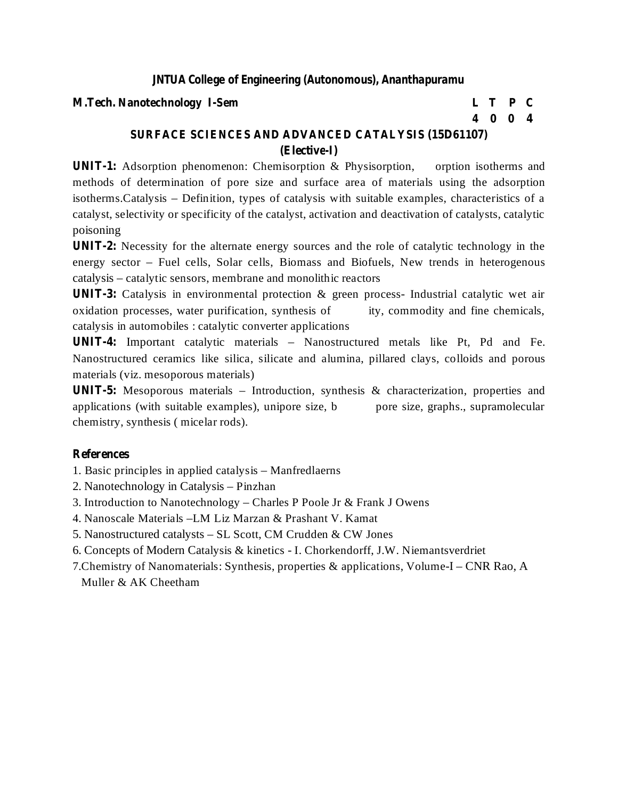#### **M.Tech. Nanotechnology I-Sem L T P C**

**4 0 0 4**

# **SURFACE SCIENCES AND ADVANCED CATALYSIS (15D61107) (Elective-I)**

**UNIT-1:** Adsorption phenomenon: Chemisorption & Physisorption, orption isotherms and methods of determination of pore size and surface area of materials using the adsorption isotherms.Catalysis – Definition, types of catalysis with suitable examples, characteristics of a catalyst, selectivity or specificity of the catalyst, activation and deactivation of catalysts, catalytic poisoning

**UNIT-2:** Necessity for the alternate energy sources and the role of catalytic technology in the energy sector – Fuel cells, Solar cells, Biomass and Biofuels, New trends in heterogenous catalysis – catalytic sensors, membrane and monolithic reactors

**UNIT-3:** Catalysis in environmental protection & green process- Industrial catalytic wet air oxidation processes, water purification, synthesis of ity, commodity and fine chemicals, catalysis in automobiles : catalytic converter applications

**UNIT-4:** Important catalytic materials – Nanostructured metals like Pt, Pd and Fe. Nanostructured ceramics like silica, silicate and alumina, pillared clays, colloids and porous materials (viz. mesoporous materials)

**UNIT-5:** Mesoporous materials – Introduction, synthesis & characterization, properties and applications (with suitable examples), unipore size, b pore size, graphs., supramolecular chemistry, synthesis ( micelar rods).

#### **References**

1. Basic principles in applied catalysis – Manfredlaerns

- 2. Nanotechnology in Catalysis Pinzhan
- 3. Introduction to Nanotechnology Charles P Poole Jr & Frank J Owens
- 4. Nanoscale Materials –LM Liz Marzan & Prashant V. Kamat
- 5. Nanostructured catalysts SL Scott, CM Crudden & CW Jones
- 6. Concepts of Modern Catalysis & kinetics I. Chorkendorff, J.W. Niemantsverdriet
- 7.Chemistry of Nanomaterials: Synthesis, properties & applications, Volume-I CNR Rao, A Muller & AK Cheetham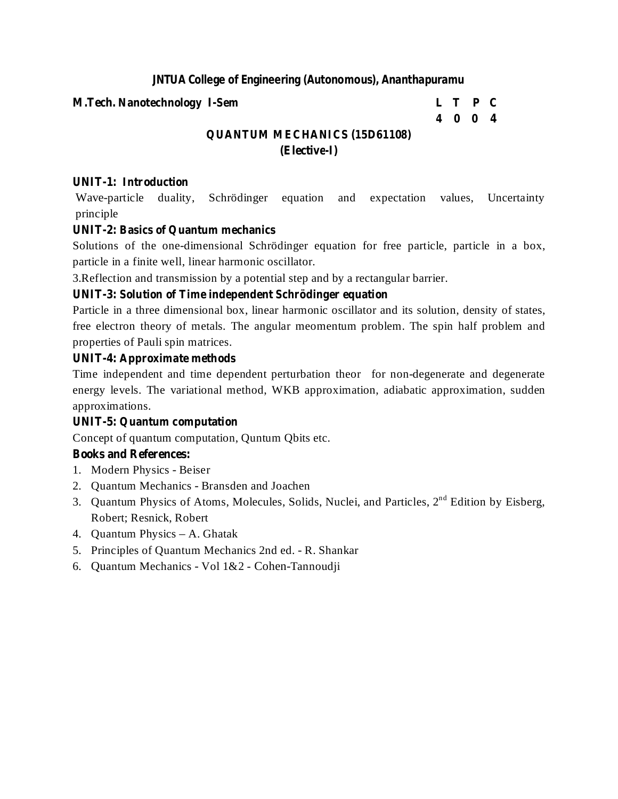#### **M.Tech. Nanotechnology I-Sem L T P C**

# **4 0 0 4**

# **QUANTUM MECHANICS (15D61108) (Elective-I)**

# **UNIT-1: Introduction**

Wave-particle duality, Schrödinger equation and expectation values, Uncertainty principle

# **UNIT-2: Basics of Quantum mechanics**

Solutions of the one-dimensional Schrödinger equation for free particle, particle in a box, particle in a finite well, linear harmonic oscillator.

3.Reflection and transmission by a potential step and by a rectangular barrier.

# **UNIT-3: Solution of Time independent Schrödinger equation**

Particle in a three dimensional box, linear harmonic oscillator and its solution, density of states, free electron theory of metals. The angular meomentum problem. The spin half problem and properties of Pauli spin matrices.

# **UNIT-4: Approximate methods**

Time independent and time dependent perturbation theor for non-degenerate and degenerate energy levels. The variational method, WKB approximation, adiabatic approximation, sudden approximations.

# **UNIT-5: Quantum computation**

Concept of quantum computation, Quntum Qbits etc.

# **Books and References:**

- 1. Modern Physics Beiser
- 2. Quantum Mechanics Bransden and Joachen
- 3. Quantum Physics of Atoms, Molecules, Solids, Nuclei, and Particles,  $2<sup>nd</sup>$  Edition by Eisberg, Robert; Resnick, Robert
- 4. Quantum Physics A. Ghatak
- 5. Principles of Quantum Mechanics 2nd ed. R. Shankar
- 6. Quantum Mechanics Vol 1&2 Cohen-Tannoudji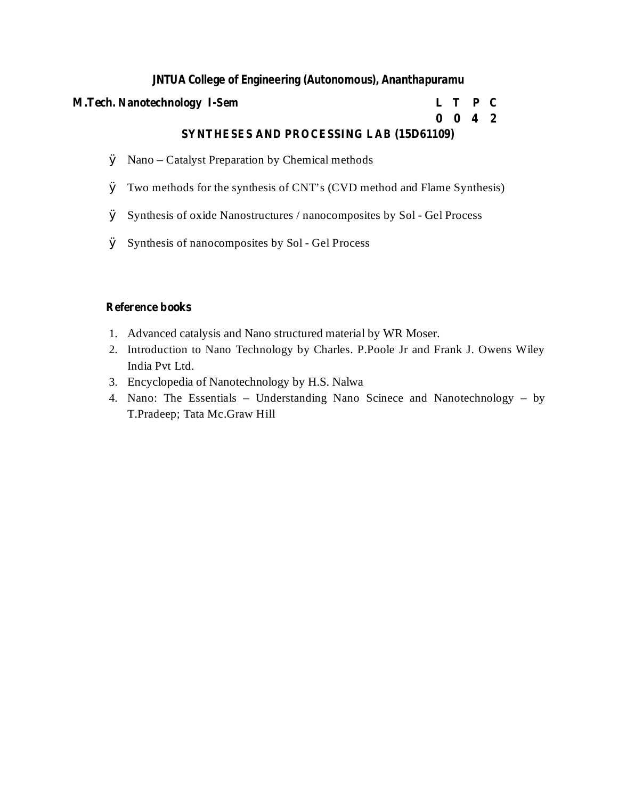#### **M.Tech. Nanotechnology I-Sem L T P C**

#### **0 0 4 2 SYNTHESES AND PROCESSING LAB (15D61109)**

- Ø Nano Catalyst Preparation by Chemical methods
- Ø Two methods for the synthesis of CNT's (CVD method and Flame Synthesis)
- Ø Synthesis of oxide Nanostructures / nanocomposites by Sol Gel Process
- Ø Synthesis of nanocomposites by Sol Gel Process

### **Reference books**

- 1. Advanced catalysis and Nano structured material by WR Moser.
- 2. Introduction to Nano Technology by Charles. P.Poole Jr and Frank J. Owens Wiley India Pvt Ltd.
- 3. Encyclopedia of Nanotechnology by H.S. Nalwa
- 4. Nano: The Essentials Understanding Nano Scinece and Nanotechnology by T.Pradeep; Tata Mc.Graw Hill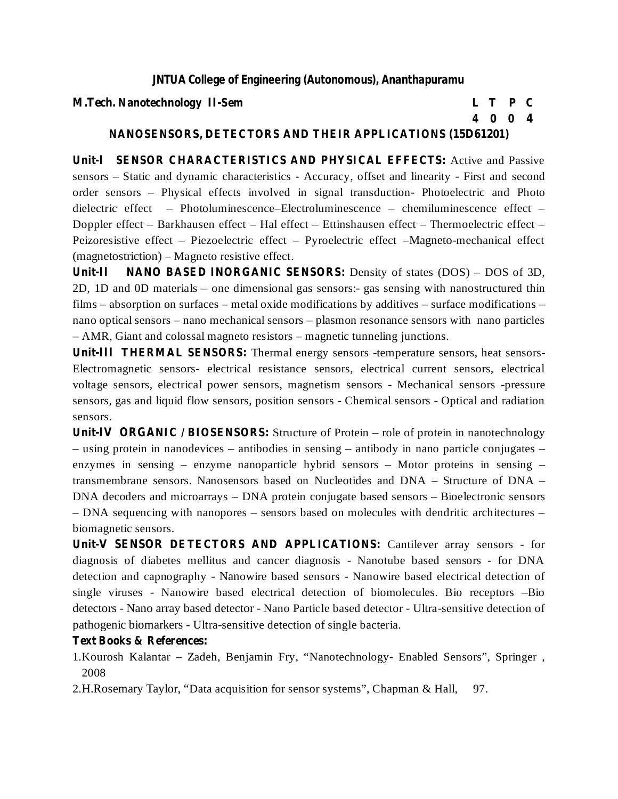#### **M.Tech. Nanotechnology II-Sem L T P C**

**4 0 0 4**

## **NANOSENSORS, DETECTORS AND THEIR APPLICATIONS (15D61201)**

**Unit-I SENSOR CHARACTERISTICS AND PHYSICAL EFFECTS:** Active and Passive sensors – Static and dynamic characteristics - Accuracy, offset and linearity - First and second order sensors – Physical effects involved in signal transduction- Photoelectric and Photo dielectric effect – Photoluminescence–Electroluminescence – chemiluminescence effect – Doppler effect – Barkhausen effect – Hal effect – Ettinshausen effect – Thermoelectric effect – Peizoresistive effect – Piezoelectric effect – Pyroelectric effect –Magneto-mechanical effect (magnetostriction) – Magneto resistive effect.

**Unit-II NANO BASED INORGANIC SENSORS:** Density of states (DOS) – DOS of 3D, 2D, 1D and 0D materials – one dimensional gas sensors:- gas sensing with nanostructured thin films – absorption on surfaces – metal oxide modifications by additives – surface modifications – nano optical sensors – nano mechanical sensors – plasmon resonance sensors with nano particles – AMR, Giant and colossal magneto resistors – magnetic tunneling junctions.

**Unit-III THERMAL SENSORS:** Thermal energy sensors -temperature sensors, heat sensors-Electromagnetic sensors- electrical resistance sensors, electrical current sensors, electrical voltage sensors, electrical power sensors, magnetism sensors - Mechanical sensors -pressure sensors, gas and liquid flow sensors, position sensors - Chemical sensors - Optical and radiation sensors.

**Unit-IV ORGANIC / BIOSENSORS:** Structure of Protein – role of protein in nanotechnology – using protein in nanodevices – antibodies in sensing – antibody in nano particle conjugates – enzymes in sensing – enzyme nanoparticle hybrid sensors – Motor proteins in sensing – transmembrane sensors. Nanosensors based on Nucleotides and DNA – Structure of DNA – DNA decoders and microarrays – DNA protein conjugate based sensors – Bioelectronic sensors – DNA sequencing with nanopores – sensors based on molecules with dendritic architectures – biomagnetic sensors.

**Unit-V SENSOR DETECTORS AND APPLICATIONS:** Cantilever array sensors - for diagnosis of diabetes mellitus and cancer diagnosis - Nanotube based sensors - for DNA detection and capnography - Nanowire based sensors - Nanowire based electrical detection of single viruses - Nanowire based electrical detection of biomolecules. Bio receptors –Bio detectors - Nano array based detector - Nano Particle based detector - Ultra-sensitive detection of pathogenic biomarkers - Ultra-sensitive detection of single bacteria.

#### **Text Books & References:**

- 1.Kourosh Kalantar Zadeh, Benjamin Fry, "Nanotechnology- Enabled Sensors", Springer , 2008
- 2.H.Rosemary Taylor, "Data acquisition for sensor systems", Chapman & Hall, 97.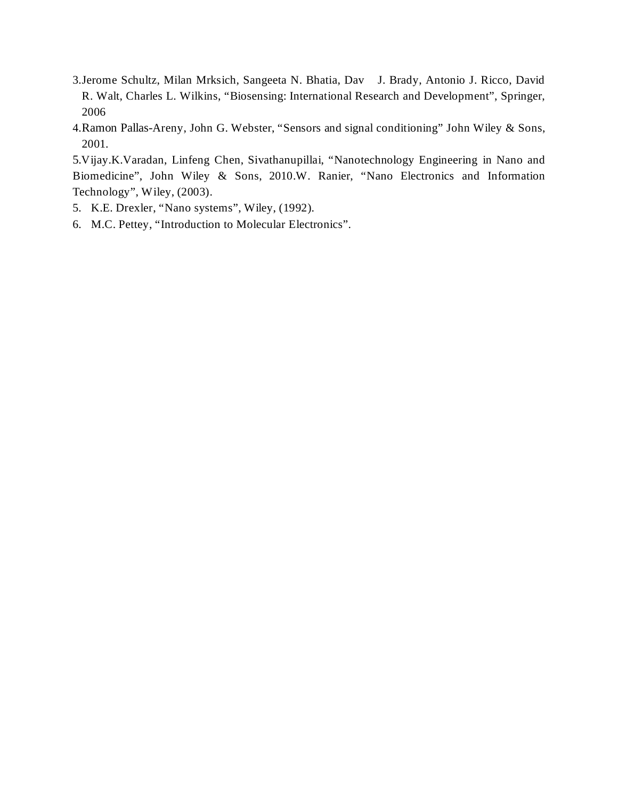- 3.Jerome Schultz, Milan Mrksich, Sangeeta N. Bhatia, Dav J. Brady, Antonio J. Ricco, David R. Walt, Charles L. Wilkins, "Biosensing: International Research and Development", Springer, 2006
- 4.Ramon Pallas-Areny, John G. Webster, "Sensors and signal conditioning" John Wiley & Sons, 2001.

5.Vijay.K.Varadan, Linfeng Chen, Sivathanupillai, "Nanotechnology Engineering in Nano and Biomedicine", John Wiley & Sons, 2010.W. Ranier, "Nano Electronics and Information Technology", Wiley, (2003).

- 5. K.E. Drexler, "Nano systems", Wiley, (1992).
- 6. M.C. Pettey, "Introduction to Molecular Electronics".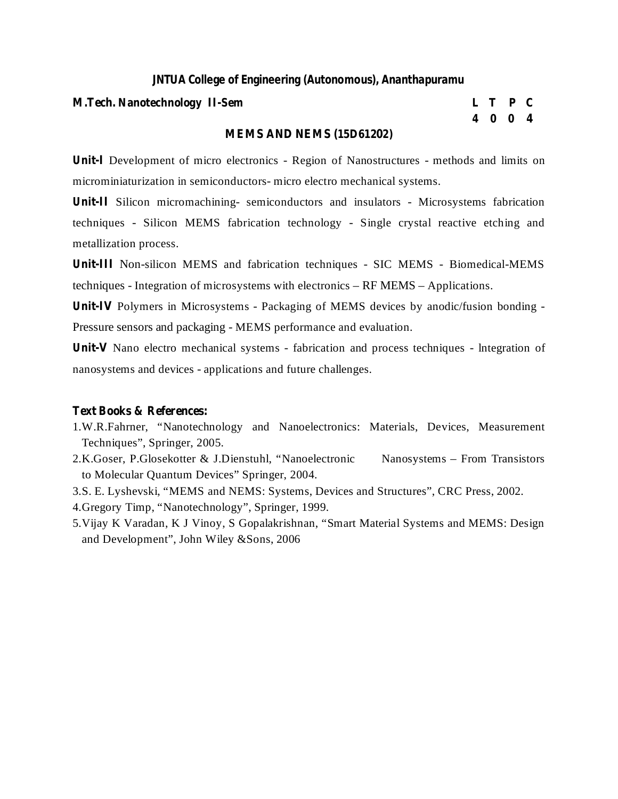#### **M.Tech. Nanotechnology II-Sem L T P C**

# **4 0 0 4**

#### **MEMS AND NEMS (15D61202)**

**Unit-I** Development of micro electronics - Region of Nanostructures - methods and limits on microminiaturization in semiconductors- micro electro mechanical systems.

**Unit-II** Silicon micromachining- semiconductors and insulators - Microsystems fabrication techniques - Silicon MEMS fabrication technology - Single crystal reactive etching and metallization process.

**Unit-III** Non-silicon MEMS and fabrication techniques - SIC MEMS - Biomedical-MEMS techniques - Integration of microsystems with electronics – RF MEMS – Applications.

**Unit-IV** Polymers in Microsystems - Packaging of MEMS devices by anodic/fusion bonding - Pressure sensors and packaging - MEMS performance and evaluation.

**Unit-V** Nano electro mechanical systems - fabrication and process techniques - lntegration of nanosystems and devices - applications and future challenges.

#### **Text Books & References:**

- 1.W.R.Fahrner, "Nanotechnology and Nanoelectronics: Materials, Devices, Measurement Techniques", Springer, 2005.
- 2.K.Goser, P.Glosekotter & J.Dienstuhl, "Nanoelectronic Nanosystems From Transistors to Molecular Quantum Devices" Springer, 2004.
- 3.S. E. Lyshevski, "MEMS and NEMS: Systems, Devices and Structures", CRC Press, 2002.

4.Gregory Timp, "Nanotechnology", Springer, 1999.

5.Vijay K Varadan, K J Vinoy, S Gopalakrishnan, "Smart Material Systems and MEMS: Design and Development", John Wiley &Sons, 2006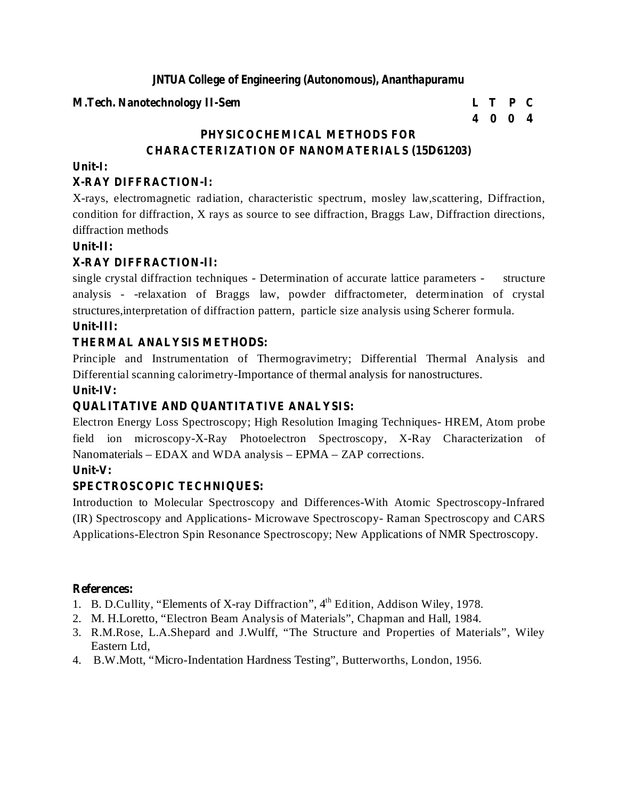#### **M.Tech. Nanotechnology II-Sem L T P C**

# **4 0 0 4**

# **PHYSICOCHEMICAL METHODS FOR CHARACTERIZATION OF NANOMATERIALS (15D61203)**

#### **Unit-I:**

#### **X-RAY DIFFRACTION-I:**

X-rays, electromagnetic radiation, characteristic spectrum, mosley law,scattering, Diffraction, condition for diffraction, X rays as source to see diffraction, Braggs Law, Diffraction directions, diffraction methods

#### **Unit-II:**

#### **X-RAY DIFFRACTION-II:**

single crystal diffraction techniques - Determination of accurate lattice parameters - structure analysis - -relaxation of Braggs law, powder diffractometer, determination of crystal structures,interpretation of diffraction pattern, particle size analysis using Scherer formula.

#### **Unit-III:**

#### **THERMAL ANALYSIS METHODS:**

Principle and Instrumentation of Thermogravimetry; Differential Thermal Analysis and Differential scanning calorimetry-Importance of thermal analysis for nanostructures.

#### **Unit-IV:**

#### **QUALITATIVE AND QUANTITATIVE ANALYSIS:**

Electron Energy Loss Spectroscopy; High Resolution Imaging Techniques- HREM, Atom probe field ion microscopy-X-Ray Photoelectron Spectroscopy, X-Ray Characterization of Nanomaterials – EDAX and WDA analysis – EPMA – ZAP corrections.

#### **Unit-V:**

#### **SPECTROSCOPIC TECHNIQUES:**

Introduction to Molecular Spectroscopy and Differences-With Atomic Spectroscopy-Infrared (IR) Spectroscopy and Applications- Microwave Spectroscopy- Raman Spectroscopy and CARS Applications-Electron Spin Resonance Spectroscopy; New Applications of NMR Spectroscopy.

- 1. B. D.Cullity, "Elements of X-ray Diffraction", 4<sup>th</sup> Edition, Addison Wiley, 1978.
- 2. M. H.Loretto, "Electron Beam Analysis of Materials", Chapman and Hall, 1984.
- 3. R.M.Rose, L.A.Shepard and J.Wulff, "The Structure and Properties of Materials", Wiley Eastern Ltd,
- 4. B.W.Mott, "Micro-Indentation Hardness Testing", Butterworths, London, 1956.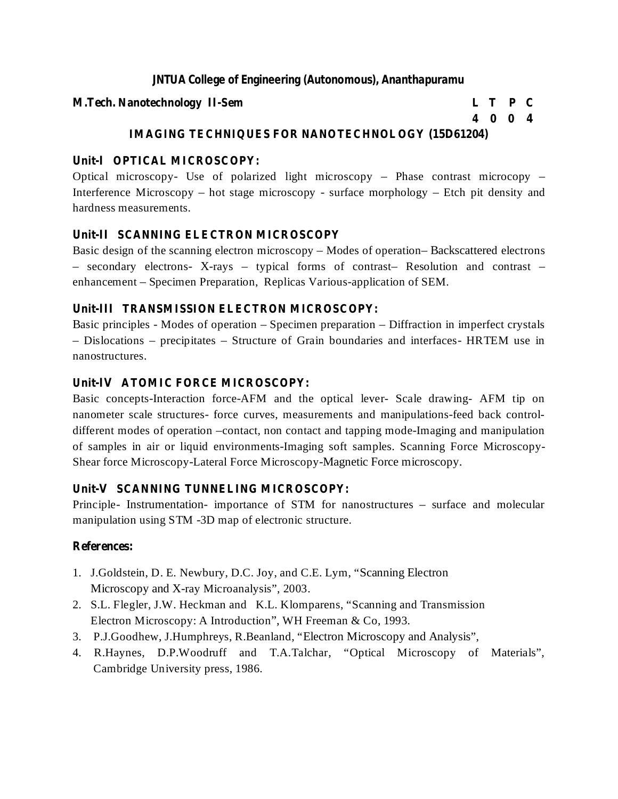#### **M.Tech. Nanotechnology II-Sem L T P C**

# **4 0 0 4**

# **IMAGING TECHNIQUES FOR NANOTECHNOLOGY (15D61204)**

# **Unit-I OPTICAL MICROSCOPY:**

Optical microscopy- Use of polarized light microscopy – Phase contrast microcopy – Interference Microscopy – hot stage microscopy - surface morphology – Etch pit density and hardness measurements.

# **Unit-II SCANNING ELECTRON MICROSCOPY**

Basic design of the scanning electron microscopy – Modes of operation– Backscattered electrons – secondary electrons- X-rays – typical forms of contrast– Resolution and contrast – enhancement – Specimen Preparation, Replicas Various-application of SEM.

# **Unit-III TRANSMISSION ELECTRON MICROSCOPY:**

Basic principles - Modes of operation – Specimen preparation – Diffraction in imperfect crystals – Dislocations – precipitates – Structure of Grain boundaries and interfaces- HRTEM use in nanostructures.

# **Unit-IV ATOMIC FORCE MICROSCOPY:**

Basic concepts-Interaction force-AFM and the optical lever- Scale drawing- AFM tip on nanometer scale structures- force curves, measurements and manipulations-feed back controldifferent modes of operation –contact, non contact and tapping mode-Imaging and manipulation of samples in air or liquid environments-Imaging soft samples. Scanning Force Microscopy-Shear force Microscopy-Lateral Force Microscopy-Magnetic Force microscopy.

# **Unit-V SCANNING TUNNELING MICROSCOPY:**

Principle- Instrumentation- importance of STM for nanostructures – surface and molecular manipulation using STM -3D map of electronic structure.

- 1. J.Goldstein, D. E. Newbury, D.C. Joy, and C.E. Lym, "Scanning Electron Microscopy and X-ray Microanalysis", 2003.
- 2. S.L. Flegler, J.W. Heckman and K.L. Klomparens, "Scanning and Transmission Electron Microscopy: A Introduction", WH Freeman & Co, 1993.
- 3. P.J.Goodhew, J.Humphreys, R.Beanland, "Electron Microscopy and Analysis",
- 4. R.Haynes, D.P.Woodruff and T.A.Talchar, "Optical Microscopy of Materials", Cambridge University press, 1986.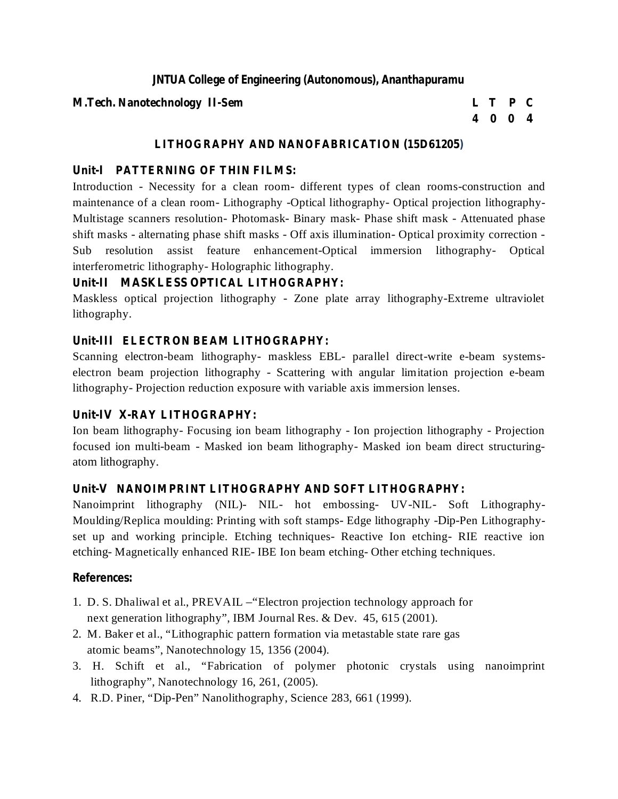#### **M.Tech. Nanotechnology II-Sem L T P C**

# **4 0 0 4**

# **LITHOGRAPHY AND NANOFABRICATION (15D61205)**

# **Unit-I PATTERNING OF THIN FILMS:**

Introduction - Necessity for a clean room- different types of clean rooms-construction and maintenance of a clean room- Lithography -Optical lithography- Optical projection lithography-Multistage scanners resolution- Photomask- Binary mask- Phase shift mask - Attenuated phase shift masks - alternating phase shift masks - Off axis illumination- Optical proximity correction - Sub resolution assist feature enhancement-Optical immersion lithography- Optical interferometric lithography- Holographic lithography.

# **Unit-II MASKLESS OPTICAL LITHOGRAPHY:**

Maskless optical projection lithography - Zone plate array lithography-Extreme ultraviolet lithography.

# **Unit-III ELECTRON BEAM LITHOGRAPHY:**

Scanning electron-beam lithography- maskless EBL- parallel direct-write e-beam systemselectron beam projection lithography - Scattering with angular limitation projection e-beam lithography- Projection reduction exposure with variable axis immersion lenses.

# **Unit-IV X-RAY LITHOGRAPHY:**

Ion beam lithography- Focusing ion beam lithography - Ion projection lithography - Projection focused ion multi-beam - Masked ion beam lithography- Masked ion beam direct structuringatom lithography.

# **Unit-V NANOIMPRINT LITHOGRAPHY AND SOFT LITHOGRAPHY:**

Nanoimprint lithography (NIL)- NIL- hot embossing- UV-NIL- Soft Lithography-Moulding/Replica moulding: Printing with soft stamps- Edge lithography -Dip-Pen Lithographyset up and working principle. Etching techniques- Reactive Ion etching- RIE reactive ion etching- Magnetically enhanced RIE- IBE Ion beam etching- Other etching techniques.

- 1. D. S. Dhaliwal et al., PREVAIL –"Electron projection technology approach for next generation lithography", IBM Journal Res. & Dev. 45, 615 (2001).
- 2. M. Baker et al., "Lithographic pattern formation via metastable state rare gas atomic beams", Nanotechnology 15, 1356 (2004).
- 3. H. Schift et al., "Fabrication of polymer photonic crystals using nanoimprint lithography", Nanotechnology 16, 261, (2005).
- 4. R.D. Piner, "Dip-Pen" Nanolithography, Science 283, 661 (1999).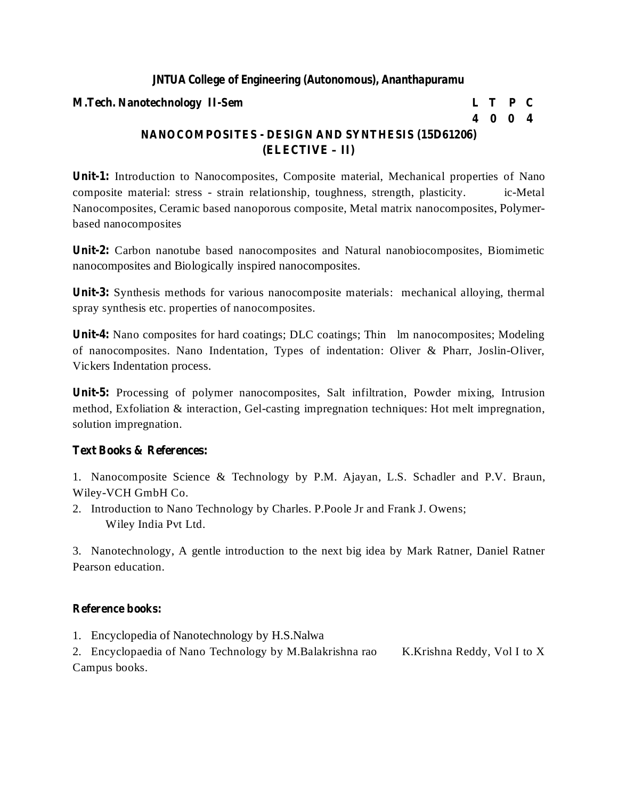#### **M.Tech. Nanotechnology II-Sem L T P C**

# **4 0 0 4**

# **NANOCOMPOSITES - DESIGN AND SYNTHESIS (15D61206) (ELECTIVE – II)**

**Unit-1:** Introduction to Nanocomposites, Composite material, Mechanical properties of Nano composite material: stress - strain relationship, toughness, strength, plasticity. ic-Metal Nanocomposites, Ceramic based nanoporous composite, Metal matrix nanocomposites, Polymerbased nanocomposites

**Unit-2:** Carbon nanotube based nanocomposites and Natural nanobiocomposites, Biomimetic nanocomposites and Biologically inspired nanocomposites.

**Unit-3:** Synthesis methods for various nanocomposite materials: mechanical alloying, thermal spray synthesis etc. properties of nanocomposites.

Unit-4: Nano composites for hard coatings; DLC coatings; Thin lm nanocomposites; Modeling of nanocomposites. Nano Indentation, Types of indentation: Oliver & Pharr, Joslin-Oliver, Vickers Indentation process.

**Unit-5:** Processing of polymer nanocomposites, Salt infiltration, Powder mixing, Intrusion method, Exfoliation & interaction, Gel-casting impregnation techniques: Hot melt impregnation, solution impregnation.

#### **Text Books & References:**

1. Nanocomposite Science & Technology by P.M. Ajayan, L.S. Schadler and P.V. Braun, Wiley-VCH GmbH Co.

2. Introduction to Nano Technology by Charles. P.Poole Jr and Frank J. Owens; Wiley India Pvt Ltd.

3. Nanotechnology, A gentle introduction to the next big idea by Mark Ratner, Daniel Ratner Pearson education.

#### **Reference books:**

1. Encyclopedia of Nanotechnology by H.S.Nalwa

2. Encyclopaedia of Nano Technology by M.Balakrishna rao K.Krishna Reddy, Vol I to X Campus books.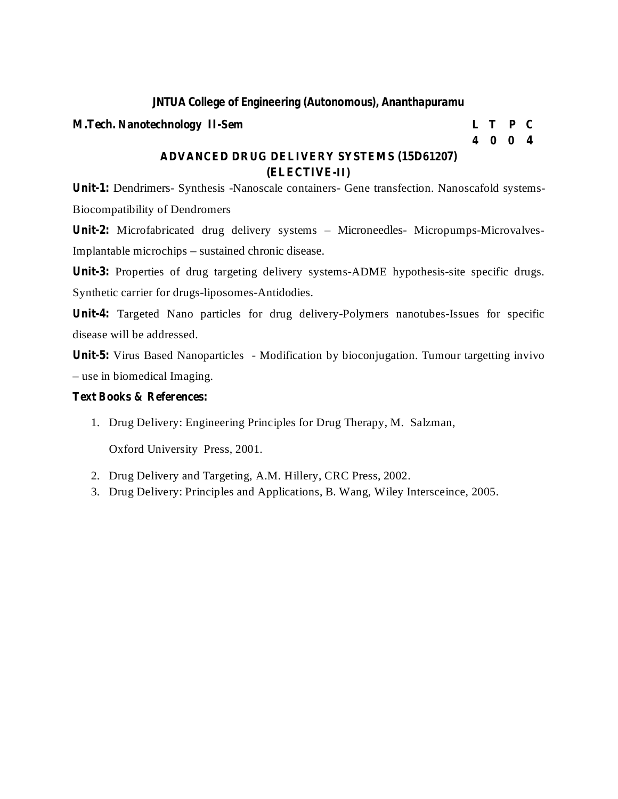#### **M.Tech. Nanotechnology II-Sem L T P C**

**4 0 0 4**

### **ADVANCED DRUG DELIVERY SYSTEMS (15D61207) (ELECTIVE-II)**

**Unit-1:** Dendrimers- Synthesis -Nanoscale containers- Gene transfection. Nanoscafold systems-Biocompatibility of Dendromers

Unit-2: Microfabricated drug delivery systems - Microneedles- Micropumps-Microvalves-Implantable microchips – sustained chronic disease.

Unit-3: Properties of drug targeting delivery systems-ADME hypothesis-site specific drugs. Synthetic carrier for drugs-liposomes-Antidodies.

**Unit-4:** Targeted Nano particles for drug delivery-Polymers nanotubes-Issues for specific disease will be addressed.

**Unit-5:** Virus Based Nanoparticles - Modification by bioconjugation. Tumour targetting invivo – use in biomedical Imaging.

#### **Text Books & References:**

1. Drug Delivery: Engineering Principles for Drug Therapy, M. Salzman,

Oxford University Press, 2001.

- 2. Drug Delivery and Targeting, A.M. Hillery, CRC Press, 2002.
- 3. Drug Delivery: Principles and Applications, B. Wang, Wiley Intersceince, 2005.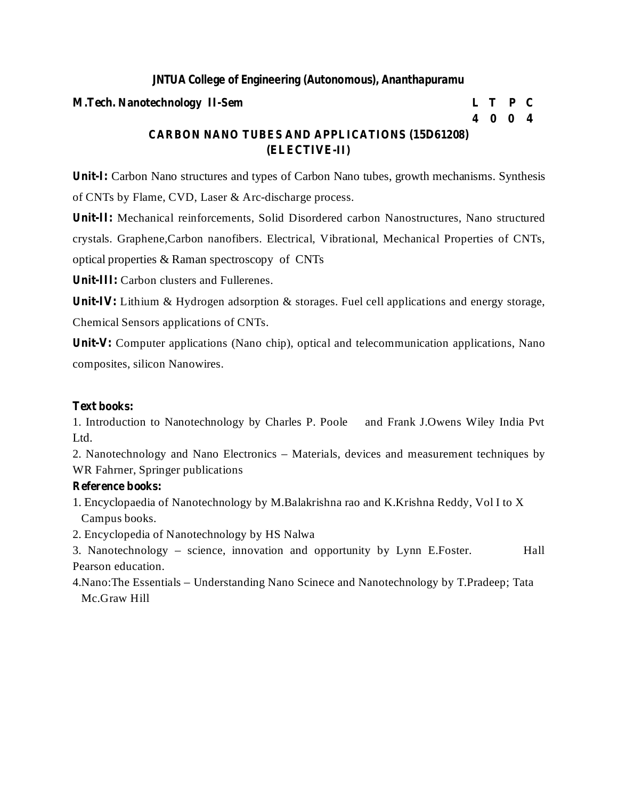#### **M.Tech. Nanotechnology II-Sem L T P C**

# **4 0 0 4**

# **CARBON NANO TUBES AND APPLICATIONS (15D61208) (ELECTIVE-II)**

**Unit-I:** Carbon Nano structures and types of Carbon Nano tubes, growth mechanisms. Synthesis of CNTs by Flame, CVD, Laser & Arc-discharge process.

**Unit-II:** Mechanical reinforcements, Solid Disordered carbon Nanostructures, Nano structured crystals. Graphene,Carbon nanofibers. Electrical, Vibrational, Mechanical Properties of CNTs, optical properties & Raman spectroscopy of CNTs

**Unit-III:** Carbon clusters and Fullerenes.

Unit<sub>**IV:** Lithium & Hydrogen adsorption & storages. Fuel cell applications and energy storage,</sub> Chemical Sensors applications of CNTs.

**Unit-V:** Computer applications (Nano chip), optical and telecommunication applications, Nano composites, silicon Nanowires.

#### **Text books:**

1. Introduction to Nanotechnology by Charles P. Poole and Frank J.Owens Wiley India Pvt Ltd.

2. Nanotechnology and Nano Electronics – Materials, devices and measurement techniques by WR Fahrner, Springer publications

#### **Reference books:**

- 1. Encyclopaedia of Nanotechnology by M.Balakrishna rao and K.Krishna Reddy, Vol I to X Campus books.
- 2. Encyclopedia of Nanotechnology by HS Nalwa

3. Nanotechnology – science, innovation and opportunity by Lynn E.Foster. Hall Pearson education.

4.Nano:The Essentials – Understanding Nano Scinece and Nanotechnology by T.Pradeep; Tata Mc.Graw Hill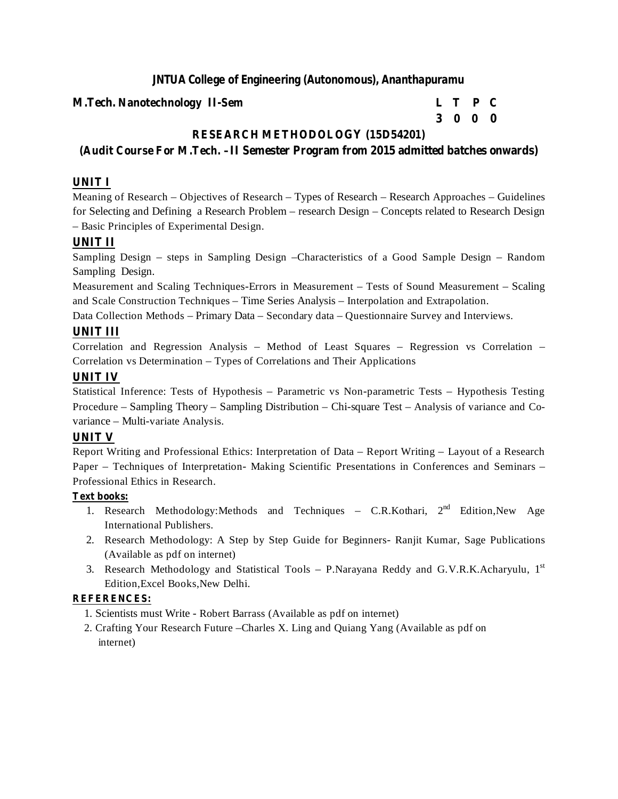#### **M.Tech. Nanotechnology II-Sem L T P C**

# **3 0 0 0**

# **RESEARCH METHODOLOGY (15D54201)**

# **(Audit Course For M.Tech. –II Semester Program from 2015 admitted batches onwards)**

# **UNIT I**

Meaning of Research – Objectives of Research – Types of Research – Research Approaches – Guidelines for Selecting and Defining a Research Problem – research Design – Concepts related to Research Design – Basic Principles of Experimental Design.

# **UNIT II**

Sampling Design – steps in Sampling Design –Characteristics of a Good Sample Design – Random Sampling Design.

Measurement and Scaling Techniques-Errors in Measurement – Tests of Sound Measurement – Scaling and Scale Construction Techniques – Time Series Analysis – Interpolation and Extrapolation.

Data Collection Methods – Primary Data – Secondary data – Questionnaire Survey and Interviews.

#### **UNIT III**

Correlation and Regression Analysis – Method of Least Squares – Regression vs Correlation – Correlation vs Determination – Types of Correlations and Their Applications

#### **UNIT IV**

Statistical Inference: Tests of Hypothesis – Parametric vs Non-parametric Tests – Hypothesis Testing Procedure – Sampling Theory – Sampling Distribution – Chi-square Test – Analysis of variance and Covariance – Multi-variate Analysis.

#### **UNIT V**

Report Writing and Professional Ethics: Interpretation of Data – Report Writing – Layout of a Research Paper – Techniques of Interpretation- Making Scientific Presentations in Conferences and Seminars – Professional Ethics in Research.

#### **Text books:**

- 1. Research Methodology:Methods and Techniques C.R.Kothari, 2<sup>nd</sup> Edition, New Age International Publishers.
- 2. Research Methodology: A Step by Step Guide for Beginners- Ranjit Kumar, Sage Publications (Available as pdf on internet)
- 3. Research Methodology and Statistical Tools P.Narayana Reddy and G.V.R.K.Acharyulu, 1st Edition,Excel Books,New Delhi.

#### **REFERENCES:**

- 1. Scientists must Write Robert Barrass (Available as pdf on internet)
- 2. Crafting Your Research Future –Charles X. Ling and Quiang Yang (Available as pdf on internet)